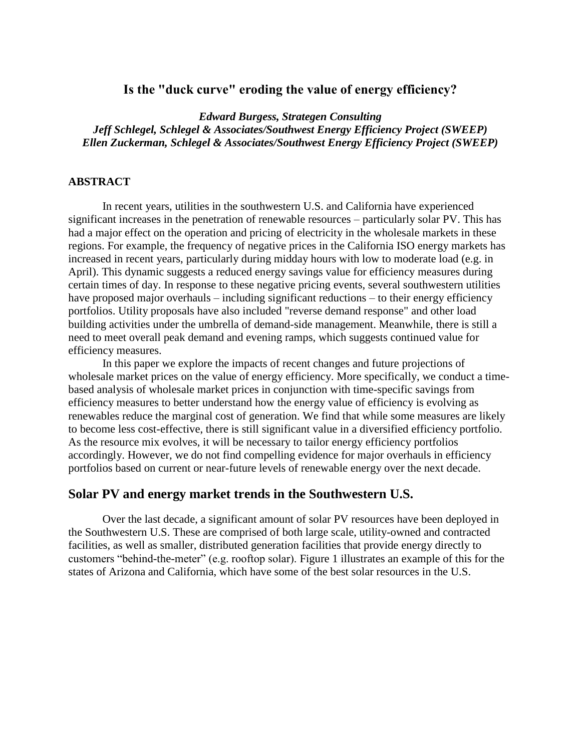# **Is the "duck curve" eroding the value of energy efficiency?**

*Edward Burgess, Strategen Consulting Jeff Schlegel, Schlegel & Associates/Southwest Energy Efficiency Project (SWEEP) Ellen Zuckerman, Schlegel & Associates/Southwest Energy Efficiency Project (SWEEP)*

#### **ABSTRACT**

In recent years, utilities in the southwestern U.S. and California have experienced significant increases in the penetration of renewable resources – particularly solar PV. This has had a major effect on the operation and pricing of electricity in the wholesale markets in these regions. For example, the frequency of negative prices in the California ISO energy markets has increased in recent years, particularly during midday hours with low to moderate load (e.g. in April). This dynamic suggests a reduced energy savings value for efficiency measures during certain times of day. In response to these negative pricing events, several southwestern utilities have proposed major overhauls – including significant reductions – to their energy efficiency portfolios. Utility proposals have also included "reverse demand response" and other load building activities under the umbrella of demand-side management. Meanwhile, there is still a need to meet overall peak demand and evening ramps, which suggests continued value for efficiency measures.

In this paper we explore the impacts of recent changes and future projections of wholesale market prices on the value of energy efficiency. More specifically, we conduct a timebased analysis of wholesale market prices in conjunction with time-specific savings from efficiency measures to better understand how the energy value of efficiency is evolving as renewables reduce the marginal cost of generation. We find that while some measures are likely to become less cost-effective, there is still significant value in a diversified efficiency portfolio. As the resource mix evolves, it will be necessary to tailor energy efficiency portfolios accordingly. However, we do not find compelling evidence for major overhauls in efficiency portfolios based on current or near-future levels of renewable energy over the next decade.

#### **Solar PV and energy market trends in the Southwestern U.S.**

Over the last decade, a significant amount of solar PV resources have been deployed in the Southwestern U.S. These are comprised of both large scale, utility-owned and contracted facilities, as well as smaller, distributed generation facilities that provide energy directly to customers "behind-the-meter" (e.g. rooftop solar). [Figure 1](#page-1-0) illustrates an example of this for the states of Arizona and California, which have some of the best solar resources in the U.S.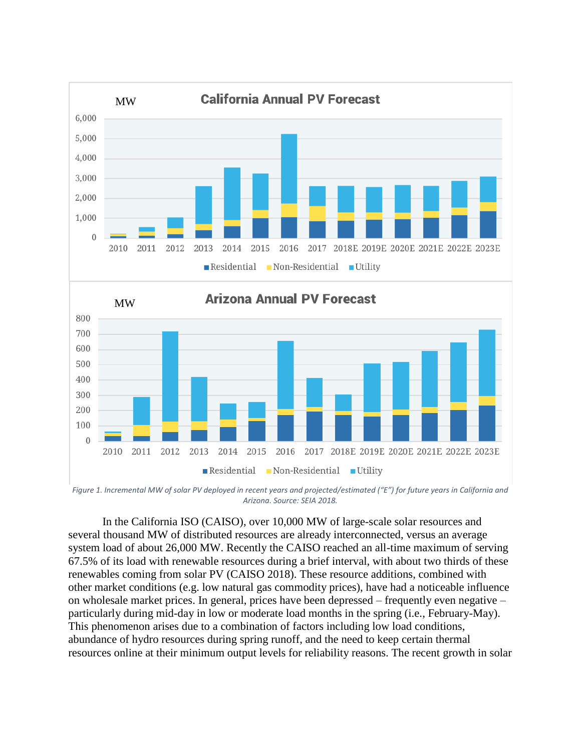

<span id="page-1-0"></span>*Figure 1. Incremental MW of solar PV deployed in recent years and projected/estimated ("E") for future years in California and Arizona. Source: SEIA 2018.* 

In the California ISO (CAISO), over 10,000 MW of large-scale solar resources and several thousand MW of distributed resources are already interconnected, versus an average system load of about 26,000 MW. Recently the CAISO reached an all-time maximum of serving 67.5% of its load with renewable resources during a brief interval, with about two thirds of these renewables coming from solar PV (CAISO 2018). These resource additions, combined with other market conditions (e.g. low natural gas commodity prices), have had a noticeable influence on wholesale market prices. In general, prices have been depressed – frequently even negative – particularly during mid-day in low or moderate load months in the spring (i.e., February-May). This phenomenon arises due to a combination of factors including low load conditions, abundance of hydro resources during spring runoff, and the need to keep certain thermal resources online at their minimum output levels for reliability reasons. The recent growth in solar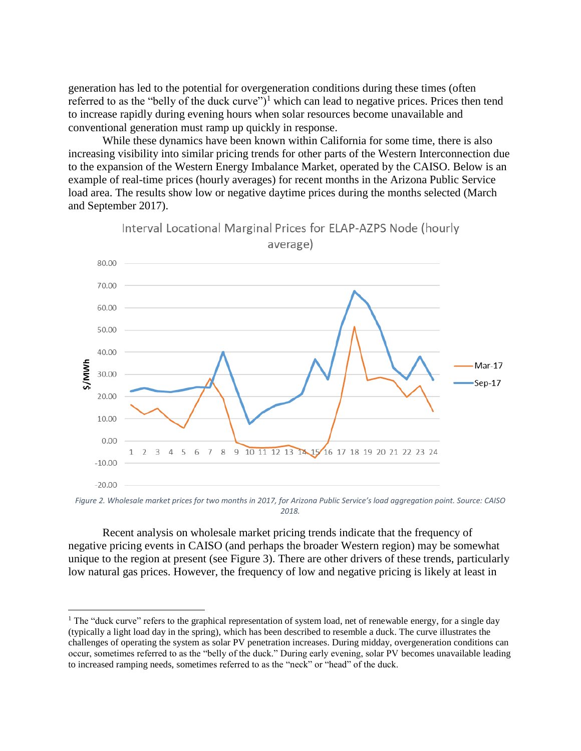generation has led to the potential for overgeneration conditions during these times (often referred to as the "belly of the duck curve" $)^1$  which can lead to negative prices. Prices then tend to increase rapidly during evening hours when solar resources become unavailable and conventional generation must ramp up quickly in response.

While these dynamics have been known within California for some time, there is also increasing visibility into similar pricing trends for other parts of the Western Interconnection due to the expansion of the Western Energy Imbalance Market, operated by the CAISO. Below is an example of real-time prices (hourly averages) for recent months in the Arizona Public Service load area. The results show low or negative daytime prices during the months selected (March and September 2017).

Interval Locational Marginal Prices for ELAP-AZPS Node (hourly



*Figure 2. Wholesale market prices for two months in 2017, for Arizona Public Service's load aggregation point. Source: CAISO 2018.* 

Recent analysis on wholesale market pricing trends indicate that the frequency of negative pricing events in CAISO (and perhaps the broader Western region) may be somewhat unique to the region at present (see [Figure 3\)](#page-3-0). There are other drivers of these trends, particularly low natural gas prices. However, the frequency of low and negative pricing is likely at least in

 $\overline{a}$ 

 $1$  The "duck curve" refers to the graphical representation of system load, net of renewable energy, for a single day (typically a light load day in the spring), which has been described to resemble a duck. The curve illustrates the challenges of operating the system as solar PV penetration increases. During midday, overgeneration conditions can occur, sometimes referred to as the "belly of the duck." During early evening, solar PV becomes unavailable leading to increased ramping needs, sometimes referred to as the "neck" or "head" of the duck.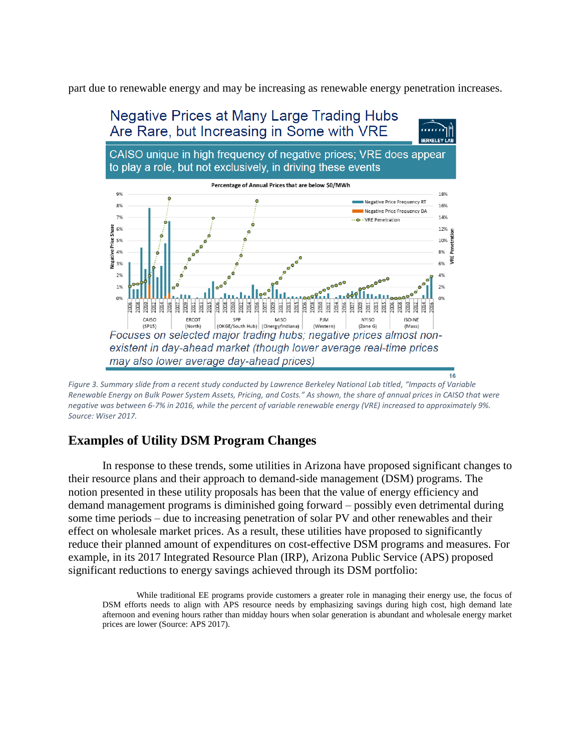part due to renewable energy and may be increasing as renewable energy penetration increases.



<span id="page-3-0"></span>*Figure 3. Summary slide from a recent study conducted by Lawrence Berkeley National Lab titled, "Impacts of Variable Renewable Energy on Bulk Power System Assets, Pricing, and Costs." As shown, the share of annual prices in CAISO that were negative was between 6-7% in 2016, while the percent of variable renewable energy (VRE) increased to approximately 9%. Source: Wiser 2017.* 

## **Examples of Utility DSM Program Changes**

In response to these trends, some utilities in Arizona have proposed significant changes to their resource plans and their approach to demand-side management (DSM) programs. The notion presented in these utility proposals has been that the value of energy efficiency and demand management programs is diminished going forward – possibly even detrimental during some time periods – due to increasing penetration of solar PV and other renewables and their effect on wholesale market prices. As a result, these utilities have proposed to significantly reduce their planned amount of expenditures on cost-effective DSM programs and measures. For example, in its 2017 Integrated Resource Plan (IRP), Arizona Public Service (APS) proposed significant reductions to energy savings achieved through its DSM portfolio:

While traditional EE programs provide customers a greater role in managing their energy use, the focus of DSM efforts needs to align with APS resource needs by emphasizing savings during high cost, high demand late afternoon and evening hours rather than midday hours when solar generation is abundant and wholesale energy market prices are lower (Source: APS 2017).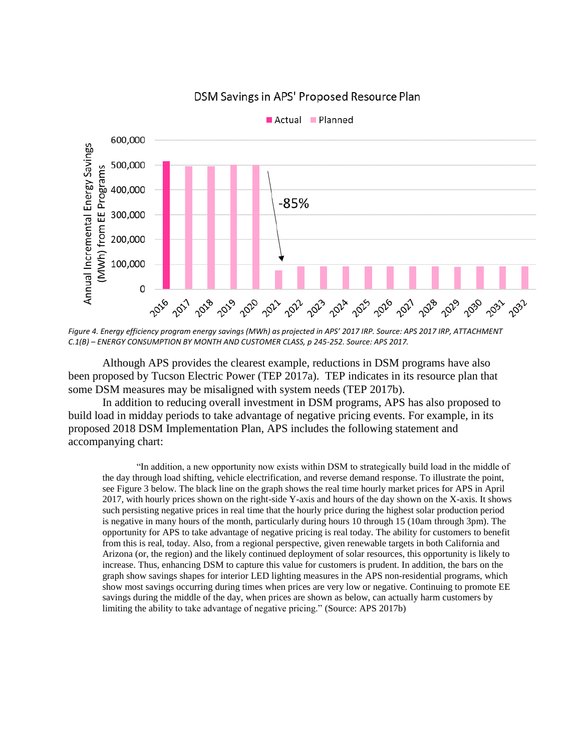

### DSM Savings in APS' Proposed Resource Plan

*Figure 4. Energy efficiency program energy savings (MWh) as projected in APS' 2017 IRP. Source: APS 2017 IRP, ATTACHMENT C.1(B) – ENERGY CONSUMPTION BY MONTH AND CUSTOMER CLASS, p 245-252. Source: APS 2017.*

Although APS provides the clearest example, reductions in DSM programs have also been proposed by Tucson Electric Power (TEP 2017a). TEP indicates in its resource plan that some DSM measures may be misaligned with system needs (TEP 2017b).

In addition to reducing overall investment in DSM programs, APS has also proposed to build load in midday periods to take advantage of negative pricing events. For example, in its proposed 2018 DSM Implementation Plan, APS includes the following statement and accompanying chart:

"In addition, a new opportunity now exists within DSM to strategically build load in the middle of the day through load shifting, vehicle electrification, and reverse demand response. To illustrate the point, see Figure 3 below. The black line on the graph shows the real time hourly market prices for APS in April 2017, with hourly prices shown on the right-side Y-axis and hours of the day shown on the X-axis. It shows such persisting negative prices in real time that the hourly price during the highest solar production period is negative in many hours of the month, particularly during hours 10 through 15 (10am through 3pm). The opportunity for APS to take advantage of negative pricing is real today. The ability for customers to benefit from this is real, today. Also, from a regional perspective, given renewable targets in both California and Arizona (or, the region) and the likely continued deployment of solar resources, this opportunity is likely to increase. Thus, enhancing DSM to capture this value for customers is prudent. In addition, the bars on the graph show savings shapes for interior LED lighting measures in the APS non-residential programs, which show most savings occurring during times when prices are very low or negative. Continuing to promote EE savings during the middle of the day, when prices are shown as below, can actually harm customers by limiting the ability to take advantage of negative pricing." (Source: APS 2017b)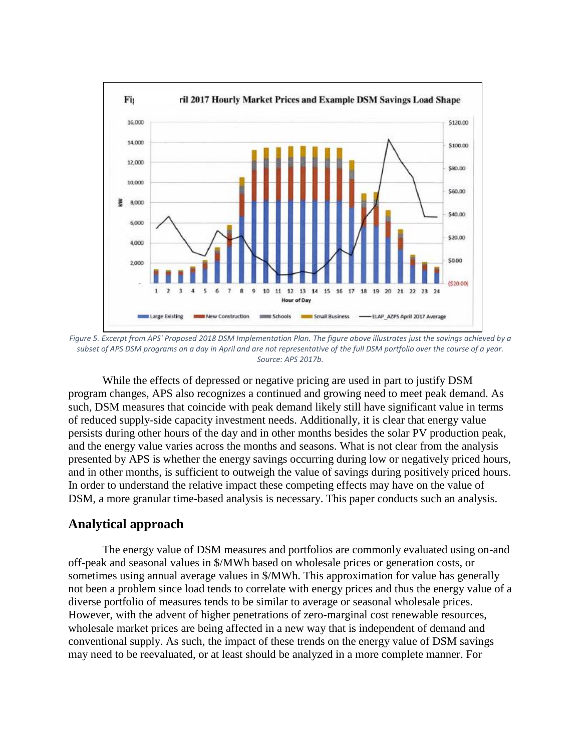

*Figure 5. Excerpt from APS' Proposed 2018 DSM Implementation Plan. The figure above illustrates just the savings achieved by a subset of APS DSM programs on a day in April and are not representative of the full DSM portfolio over the course of a year. Source: APS 2017b.*

While the effects of depressed or negative pricing are used in part to justify DSM program changes, APS also recognizes a continued and growing need to meet peak demand. As such, DSM measures that coincide with peak demand likely still have significant value in terms of reduced supply-side capacity investment needs. Additionally, it is clear that energy value persists during other hours of the day and in other months besides the solar PV production peak, and the energy value varies across the months and seasons. What is not clear from the analysis presented by APS is whether the energy savings occurring during low or negatively priced hours, and in other months, is sufficient to outweigh the value of savings during positively priced hours. In order to understand the relative impact these competing effects may have on the value of DSM, a more granular time-based analysis is necessary. This paper conducts such an analysis.

### **Analytical approach**

The energy value of DSM measures and portfolios are commonly evaluated using on-and off-peak and seasonal values in \$/MWh based on wholesale prices or generation costs, or sometimes using annual average values in \$/MWh. This approximation for value has generally not been a problem since load tends to correlate with energy prices and thus the energy value of a diverse portfolio of measures tends to be similar to average or seasonal wholesale prices. However, with the advent of higher penetrations of zero-marginal cost renewable resources, wholesale market prices are being affected in a new way that is independent of demand and conventional supply. As such, the impact of these trends on the energy value of DSM savings may need to be reevaluated, or at least should be analyzed in a more complete manner. For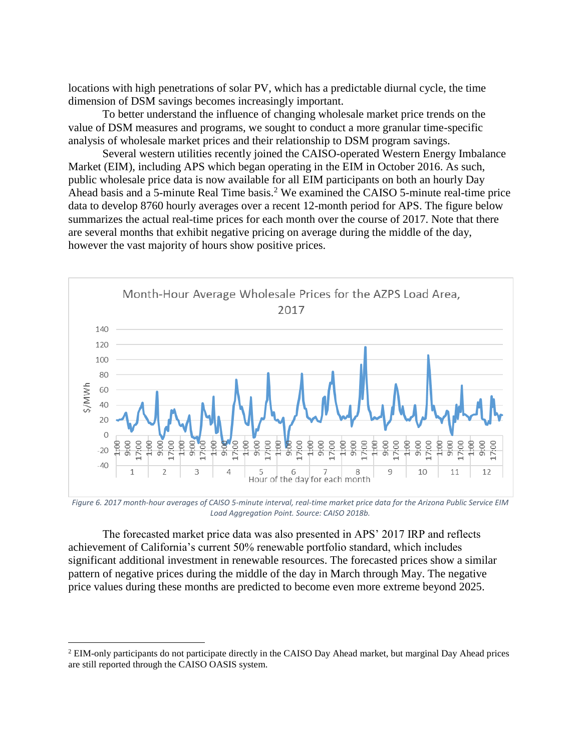locations with high penetrations of solar PV, which has a predictable diurnal cycle, the time dimension of DSM savings becomes increasingly important.

To better understand the influence of changing wholesale market price trends on the value of DSM measures and programs, we sought to conduct a more granular time-specific analysis of wholesale market prices and their relationship to DSM program savings.

Several western utilities recently joined the CAISO-operated Western Energy Imbalance Market (EIM), including APS which began operating in the EIM in October 2016. As such, public wholesale price data is now available for all EIM participants on both an hourly Day Ahead basis and a 5-minute Real Time basis.<sup>2</sup> We examined the CAISO 5-minute real-time price data to develop 8760 hourly averages over a recent 12-month period for APS. The figure below summarizes the actual real-time prices for each month over the course of 2017. Note that there are several months that exhibit negative pricing on average during the middle of the day, however the vast majority of hours show positive prices.



*Figure 6. 2017 month-hour averages of CAISO 5-minute interval, real-time market price data for the Arizona Public Service EIM Load Aggregation Point. Source: CAISO 2018b.*

The forecasted market price data was also presented in APS' 2017 IRP and reflects achievement of California's current 50% renewable portfolio standard, which includes significant additional investment in renewable resources. The forecasted prices show a similar pattern of negative prices during the middle of the day in March through May. The negative price values during these months are predicted to become even more extreme beyond 2025.

 $\overline{a}$ 

<sup>&</sup>lt;sup>2</sup> EIM-only participants do not participate directly in the CAISO Day Ahead market, but marginal Day Ahead prices are still reported through the CAISO OASIS system.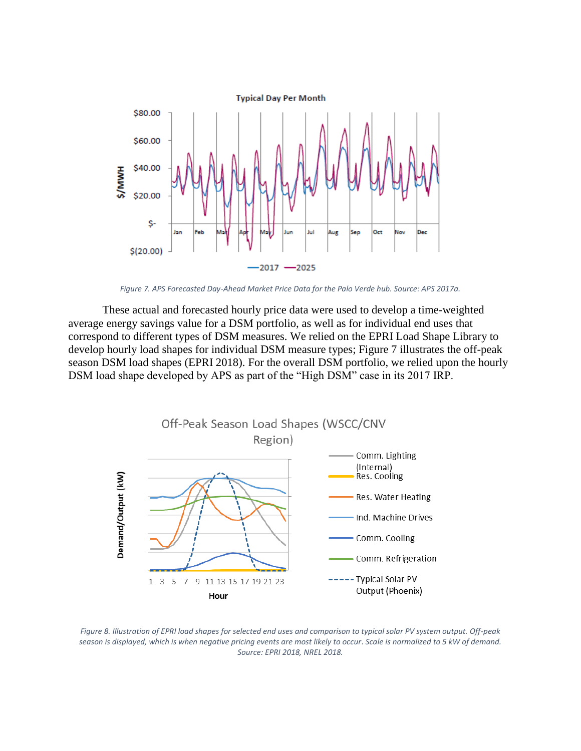

*Figure 7. APS Forecasted Day-Ahead Market Price Data for the Palo Verde hub. Source: APS 2017a.* 

These actual and forecasted hourly price data were used to develop a time-weighted average energy savings value for a DSM portfolio, as well as for individual end uses that correspond to different types of DSM measures. We relied on the EPRI Load Shape Library to develop hourly load shapes for individual DSM measure types; Figure 7 illustrates the off-peak season DSM load shapes (EPRI 2018). For the overall DSM portfolio, we relied upon the hourly DSM load shape developed by APS as part of the "High DSM" case in its 2017 IRP.



*Figure 8. Illustration of EPRI load shapes for selected end uses and comparison to typical solar PV system output. Off-peak season is displayed, which is when negative pricing events are most likely to occur*. *Scale is normalized to 5 kW of demand. Source: EPRI 2018, NREL 2018.*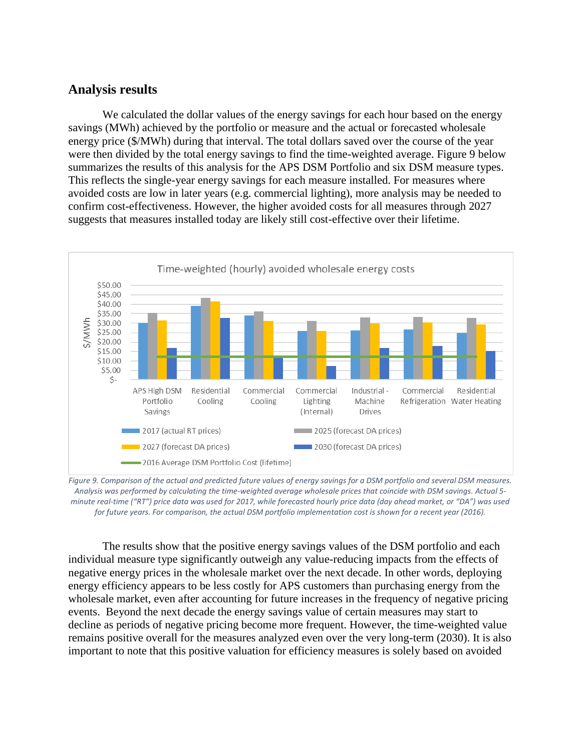## **Analysis results**

We calculated the dollar values of the energy savings for each hour based on the energy savings (MWh) achieved by the portfolio or measure and the actual or forecasted wholesale energy price (\$/MWh) during that interval. The total dollars saved over the course of the year were then divided by the total energy savings to find the time-weighted average. [Figure 9](#page-8-0) below summarizes the results of this analysis for the APS DSM Portfolio and six DSM measure types. This reflects the single-year energy savings for each measure installed. For measures where avoided costs are low in later years (e.g. commercial lighting), more analysis may be needed to confirm cost-effectiveness. However, the higher avoided costs for all measures through 2027 suggests that measures installed today are likely still cost-effective over their lifetime.



<span id="page-8-0"></span>*Figure 9. Comparison of the actual and predicted future values of energy savings for a DSM portfolio and several DSM measures. Analysis was performed by calculating the time-weighted average wholesale prices that coincide with DSM savings. Actual 5 minute real-time ("RT") price data was used for 2017, while forecasted hourly price data (day ahead market, or "DA") was used for future years. For comparison, the actual DSM portfolio implementation cost is shown for a recent year (2016).*

The results show that the positive energy savings values of the DSM portfolio and each individual measure type significantly outweigh any value-reducing impacts from the effects of negative energy prices in the wholesale market over the next decade. In other words, deploying energy efficiency appears to be less costly for APS customers than purchasing energy from the wholesale market, even after accounting for future increases in the frequency of negative pricing events. Beyond the next decade the energy savings value of certain measures may start to decline as periods of negative pricing become more frequent. However, the time-weighted value remains positive overall for the measures analyzed even over the very long-term (2030). It is also important to note that this positive valuation for efficiency measures is solely based on avoided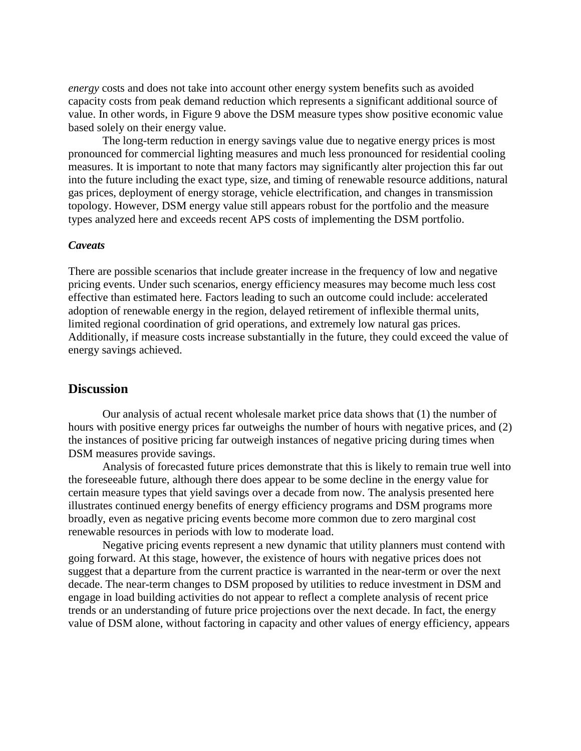*energy* costs and does not take into account other energy system benefits such as avoided capacity costs from peak demand reduction which represents a significant additional source of value. In other words, in Figure 9 above the DSM measure types show positive economic value based solely on their energy value.

The long-term reduction in energy savings value due to negative energy prices is most pronounced for commercial lighting measures and much less pronounced for residential cooling measures. It is important to note that many factors may significantly alter projection this far out into the future including the exact type, size, and timing of renewable resource additions, natural gas prices, deployment of energy storage, vehicle electrification, and changes in transmission topology. However, DSM energy value still appears robust for the portfolio and the measure types analyzed here and exceeds recent APS costs of implementing the DSM portfolio.

#### *Caveats*

There are possible scenarios that include greater increase in the frequency of low and negative pricing events. Under such scenarios, energy efficiency measures may become much less cost effective than estimated here. Factors leading to such an outcome could include: accelerated adoption of renewable energy in the region, delayed retirement of inflexible thermal units, limited regional coordination of grid operations, and extremely low natural gas prices. Additionally, if measure costs increase substantially in the future, they could exceed the value of energy savings achieved.

#### **Discussion**

Our analysis of actual recent wholesale market price data shows that (1) the number of hours with positive energy prices far outweighs the number of hours with negative prices, and (2) the instances of positive pricing far outweigh instances of negative pricing during times when DSM measures provide savings.

Analysis of forecasted future prices demonstrate that this is likely to remain true well into the foreseeable future, although there does appear to be some decline in the energy value for certain measure types that yield savings over a decade from now. The analysis presented here illustrates continued energy benefits of energy efficiency programs and DSM programs more broadly, even as negative pricing events become more common due to zero marginal cost renewable resources in periods with low to moderate load.

Negative pricing events represent a new dynamic that utility planners must contend with going forward. At this stage, however, the existence of hours with negative prices does not suggest that a departure from the current practice is warranted in the near-term or over the next decade. The near-term changes to DSM proposed by utilities to reduce investment in DSM and engage in load building activities do not appear to reflect a complete analysis of recent price trends or an understanding of future price projections over the next decade. In fact, the energy value of DSM alone, without factoring in capacity and other values of energy efficiency, appears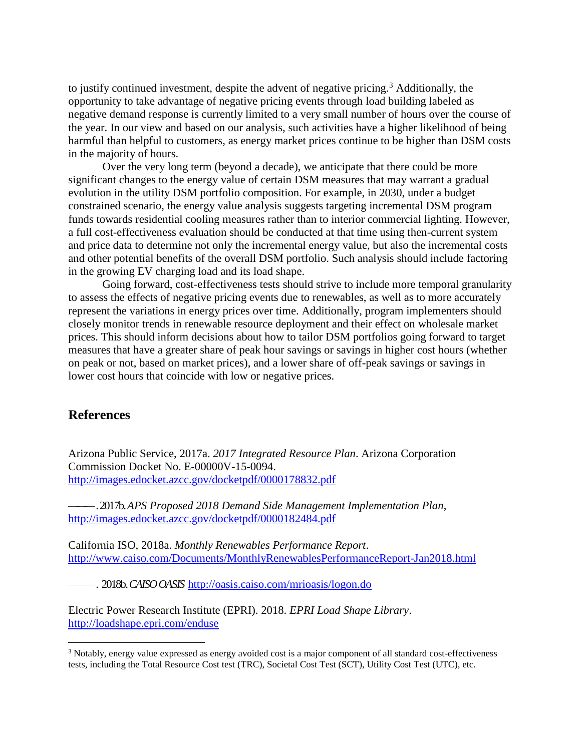to justify continued investment, despite the advent of negative pricing.<sup>3</sup> Additionally, the opportunity to take advantage of negative pricing events through load building labeled as negative demand response is currently limited to a very small number of hours over the course of the year. In our view and based on our analysis, such activities have a higher likelihood of being harmful than helpful to customers, as energy market prices continue to be higher than DSM costs in the majority of hours.

Over the very long term (beyond a decade), we anticipate that there could be more significant changes to the energy value of certain DSM measures that may warrant a gradual evolution in the utility DSM portfolio composition. For example, in 2030, under a budget constrained scenario, the energy value analysis suggests targeting incremental DSM program funds towards residential cooling measures rather than to interior commercial lighting. However, a full cost-effectiveness evaluation should be conducted at that time using then-current system and price data to determine not only the incremental energy value, but also the incremental costs and other potential benefits of the overall DSM portfolio. Such analysis should include factoring in the growing EV charging load and its load shape.

Going forward, cost-effectiveness tests should strive to include more temporal granularity to assess the effects of negative pricing events due to renewables, as well as to more accurately represent the variations in energy prices over time. Additionally, program implementers should closely monitor trends in renewable resource deployment and their effect on wholesale market prices. This should inform decisions about how to tailor DSM portfolios going forward to target measures that have a greater share of peak hour savings or savings in higher cost hours (whether on peak or not, based on market prices), and a lower share of off-peak savings or savings in lower cost hours that coincide with low or negative prices.

## **References**

 $\overline{a}$ 

Arizona Public Service, 2017a. *2017 Integrated Resource Plan*. Arizona Corporation Commission Docket No. E-00000V-15-0094. <http://images.edocket.azcc.gov/docketpdf/0000178832.pdf>

———. 2017b. *APS Proposed 2018 Demand Side Management Implementation Plan*, <http://images.edocket.azcc.gov/docketpdf/0000182484.pdf>

California ISO, 2018a. *Monthly Renewables Performance Report*. <http://www.caiso.com/Documents/MonthlyRenewablesPerformanceReport-Jan2018.html>

———. 2018b.*CAISO OASIS* <http://oasis.caiso.com/mrioasis/logon.do>

Electric Power Research Institute (EPRI). 2018. *EPRI Load Shape Library*. <http://loadshape.epri.com/enduse>

<sup>&</sup>lt;sup>3</sup> Notably, energy value expressed as energy avoided cost is a major component of all standard cost-effectiveness tests, including the Total Resource Cost test (TRC), Societal Cost Test (SCT), Utility Cost Test (UTC), etc.